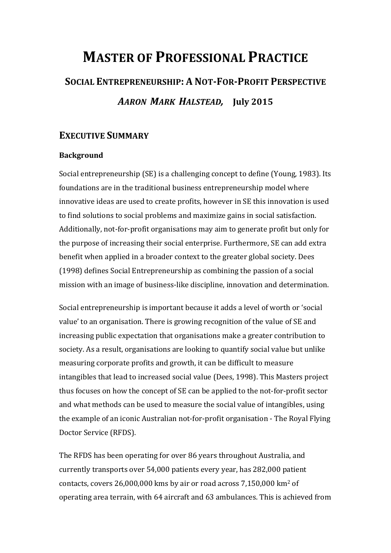## **MASTER OF PROFESSIONAL PRACTICE**

# **SOCIAL ENTREPRENEURSHIP: A NOT-FOR-PROFIT PERSPECTIVE** *AARON MARK HALSTEAD,*  **July 2015**

## **EXECUTIVE SUMMARY**

## **Background**

Social entrepreneurship (SE) is a challenging concept to define (Young, 1983). Its foundations are in the traditional business entrepreneurship model where innovative ideas are used to create profits, however in SE this innovation is used to find solutions to social problems and maximize gains in social satisfaction. Additionally, not-for-profit organisations may aim to generate profit but only for the purpose of increasing their social enterprise. Furthermore, SE can add extra benefit when applied in a broader context to the greater global society. Dees  $(1998)$  defines Social Entrepreneurship as combining the passion of a social mission with an image of business-like discipline, innovation and determination.

Social entrepreneurship is important because it adds a level of worth or 'social value' to an organisation. There is growing recognition of the value of SE and increasing public expectation that organisations make a greater contribution to society. As a result, organisations are looking to quantify social value but unlike measuring corporate profits and growth, it can be difficult to measure intangibles that lead to increased social value (Dees, 1998). This Masters project thus focuses on how the concept of SE can be applied to the not-for-profit sector and what methods can be used to measure the social value of intangibles, using the example of an iconic Australian not-for-profit organisation - The Royal Flying Doctor Service (RFDS).

The RFDS has been operating for over 86 years throughout Australia, and currently transports over 54,000 patients every year, has 282,000 patient contacts, covers  $26,000,000$  kms by air or road across  $7,150,000$  km<sup>2</sup> of operating area terrain, with 64 aircraft and 63 ambulances. This is achieved from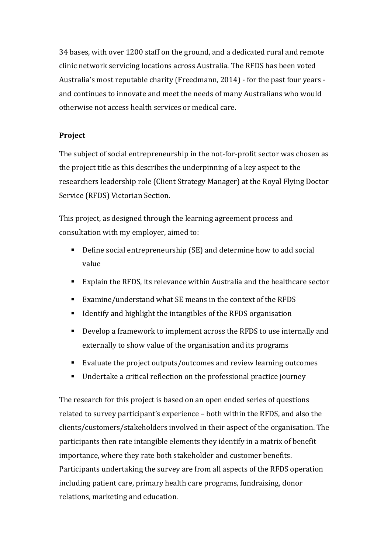34 bases, with over 1200 staff on the ground, and a dedicated rural and remote clinic network servicing locations across Australia. The RFDS has been voted Australia's most reputable charity (Freedmann, 2014) - for the past four years and continues to innovate and meet the needs of many Australians who would otherwise not access health services or medical care.

## **Project**

The subject of social entrepreneurship in the not-for-profit sector was chosen as the project title as this describes the underpinning of a key aspect to the researchers leadership role (Client Strategy Manager) at the Royal Flying Doctor Service (RFDS) Victorian Section.

This project, as designed through the learning agreement process and consultation with my employer, aimed to:

- Define social entrepreneurship (SE) and determine how to add social value
- Explain the RFDS, its relevance within Australia and the healthcare sector
- Examine/understand what SE means in the context of the RFDS
- Identify and highlight the intangibles of the RFDS organisation
- $\blacksquare$  Develop a framework to implement across the RFDS to use internally and externally to show value of the organisation and its programs
- Evaluate the project outputs/outcomes and review learning outcomes
- Undertake a critical reflection on the professional practice journey

The research for this project is based on an open ended series of questions related to survey participant's experience – both within the RFDS, and also the clients/customers/stakeholders involved in their aspect of the organisation. The participants then rate intangible elements they identify in a matrix of benefit importance, where they rate both stakeholder and customer benefits. Participants undertaking the survey are from all aspects of the RFDS operation including patient care, primary health care programs, fundraising, donor relations, marketing and education.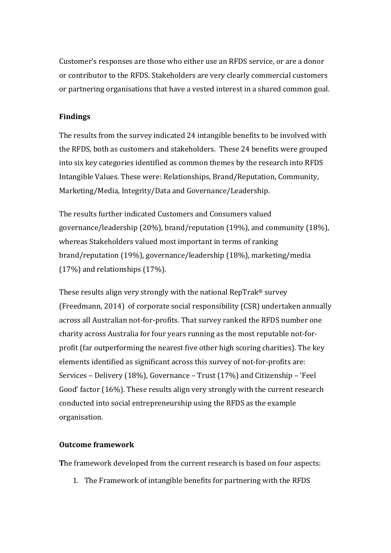Customer's responses are those who either use an RFDS service, or are a donor or contributor to the RFDS. Stakeholders are very clearly commercial customers or partnering organisations that have a vested interest in a shared common goal.

## **Findings**

The results from the survey indicated 24 intangible benefits to be involved with the RFDS, both as customers and stakeholders. These 24 benefits were grouped into six key categories identified as common themes by the research into RFDS Intangible Values. These were: Relationships, Brand/Reputation, Community, Marketing/Media, Integrity/Data and Governance/Leadership.

The results further indicated Customers and Consumers valued governance/leadership  $(20\%)$ , brand/reputation  $(19\%)$ , and community  $(18\%)$ , whereas Stakeholders valued most important in terms of ranking brand/reputation (19%), governance/leadership (18%), marketing/media  $(17%)$  and relationships  $(17%)$ .

These results align very strongly with the national  $\text{RepTrak}^{\text{®}}$  survey (Freedmann, 2014) of corporate social responsibility (CSR) undertaken annually across all Australian not-for-profits. That survey ranked the RFDS number one charity across Australia for four years running as the most reputable not-forprofit (far outperforming the nearest five other high scoring charities). The key elements identified as significant across this survey of not-for-profits are: Services – Delivery (18%), Governance – Trust (17%) and Citizenship – 'Feel Good' factor (16%). These results align very strongly with the current research conducted into social entrepreneurship using the RFDS as the example organisation. 

## **Outcome framework**

The framework developed from the current research is based on four aspects:

1. The Framework of intangible benefits for partnering with the RFDS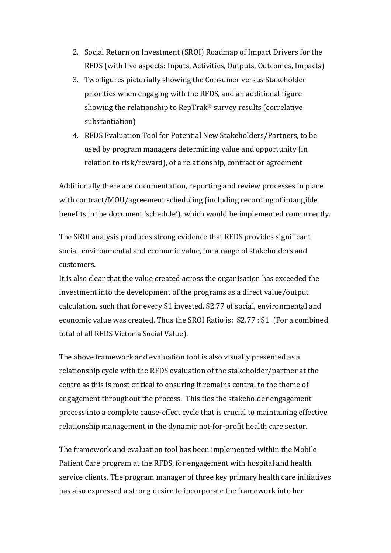- 2. Social Return on Investment (SROI) Roadmap of Impact Drivers for the RFDS (with five aspects: Inputs, Activities, Outputs, Outcomes, Impacts)
- 3. Two figures pictorially showing the Consumer versus Stakeholder priorities when engaging with the RFDS, and an additional figure showing the relationship to RepTrak® survey results (correlative substantiation)
- 4. RFDS Evaluation Tool for Potential New Stakeholders/Partners, to be used by program managers determining value and opportunity (in relation to risk/reward), of a relationship, contract or agreement

Additionally there are documentation, reporting and review processes in place with contract/MOU/agreement scheduling (including recording of intangible benefits in the document 'schedule'), which would be implemented concurrently.

The SROI analysis produces strong evidence that RFDS provides significant social, environmental and economic value, for a range of stakeholders and customers. 

It is also clear that the value created across the organisation has exceeded the investment into the development of the programs as a direct value/output calculation, such that for every \$1 invested, \$2.77 of social, environmental and economic value was created. Thus the SROI Ratio is:  $$2.77 : $1$  (For a combined total of all RFDS Victoria Social Value).

The above framework and evaluation tool is also visually presented as a relationship cycle with the RFDS evaluation of the stakeholder/partner at the centre as this is most critical to ensuring it remains central to the theme of engagement throughout the process. This ties the stakeholder engagement process into a complete cause-effect cycle that is crucial to maintaining effective relationship management in the dynamic not-for-profit health care sector.

The framework and evaluation tool has been implemented within the Mobile Patient Care program at the RFDS, for engagement with hospital and health service clients. The program manager of three key primary health care initiatives has also expressed a strong desire to incorporate the framework into her